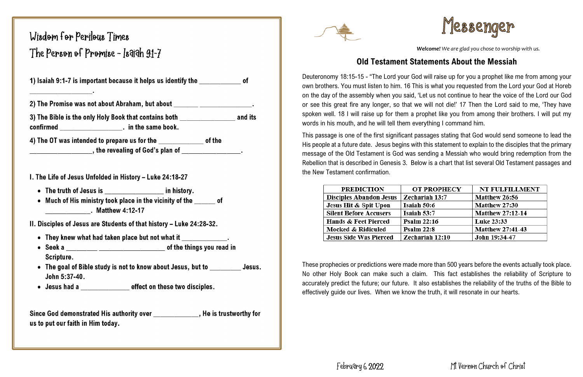# Wisdom for Perilous Times The Person of Promise - Isaigh 91-7

1) Isaiah 9:1-7 is important because it helps us identify the state of

2) The Promise was not about Abraham, but about **contract of the Promise was not about** 

3) The Bible is the only Holy Book that contains both and its 

4) The OT was intended to prepare us for the \_\_\_\_\_\_\_\_\_\_\_\_\_\_\_ of the \_\_\_\_\_\_\_\_\_\_\_\_\_\_\_, the revealing of God's plan of \_\_\_\_\_\_\_\_\_\_\_\_\_\_\_\_\_\_\_\_.

I. The Life of Jesus Unfolded in History - Luke 24:18-27

- The truth of Jesus is \_\_\_\_\_\_\_\_\_\_\_\_\_\_\_\_\_\_\_\_\_ in history.
- Much of His ministry took place in the vicinity of the \_\_\_\_\_ of

II. Disciples of Jesus are Students of that history - Luke 24:28-32.

- They knew what had taken place but not what it \_\_\_\_\_\_\_\_\_\_\_\_\_.
- Scripture.
- The goal of Bible study is not to know about Jesus, but to Sesus. John 5:37-40.
- Jesus had a \_\_\_\_\_\_\_\_\_\_\_\_\_\_ effect on these two disciples.

Since God demonstrated His authority over \_\_\_\_\_\_\_\_\_\_\_\_, He is trustworthy for us to put our faith in Him today.



*Welcome! We are glad you chose to worship with us.* 

### **Old Testament Statements About the Messiah**

Deuteronomy 18:15-15 - "The Lord your God will raise up for you a prophet like me from among your own brothers. You must listen to him. 16 This is what you requested from the Lord your God at Horeb on the day of the assembly when you said, 'Let us not continue to hear the voice of the Lord our God or see this great fire any longer, so that we will not die!' 17 Then the Lord said to me, 'They have spoken well. 18 I will raise up for them a prophet like you from among their brothers. I will put my words in his mouth, and he will tell them everything I command him.

This passage is one of the first significant passages stating that God would send someone to lead the His people at a future date. Jesus begins with this statement to explain to the disciples that the primary message of the Old Testament is God was sending a Messiah who would bring redemption from the Rebellion that is described in Genesis 3. Below is a chart that list several Old Testament passages and the New Testament confirmation.

| <b>PREDICTION</b>               | <b>OT PROPHECY</b> | <b>NT FULFILLMENT</b>   |
|---------------------------------|--------------------|-------------------------|
| <b>Disciples Abandon Jesus</b>  | Zechariah 13:7     | <b>Matthew 26:56</b>    |
| Jesus Hit & Spit Upon           | Isaiah 50:6        | <b>Matthew 27:30</b>    |
| <b>Silent Before Accusers</b>   | Isaiah 53:7        | <b>Matthew 27:12-14</b> |
| <b>Hands &amp; Feet Pierced</b> | <b>Psalm 22:16</b> | Luke 23:33              |
| Mocked & Ridiculed              | Psalm $22:8$       | <b>Matthew 27:41-43</b> |
| <b>Jesus Side Was Pierced</b>   | Zechariah 12:10    | John 19:34-47           |

These prophecies or predictions were made more than 500 years before the events actually took place. No other Holy Book can make such a claim. This fact establishes the reliability of Scripture to accurately predict the future; our future. It also establishes the reliability of the truths of the Bible to effectively guide our lives. When we know the truth, it will resonate in our hearts.